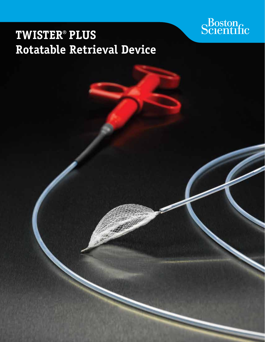# Scientific

## **Twister**® **Plus Rotatable Retrieval Device**